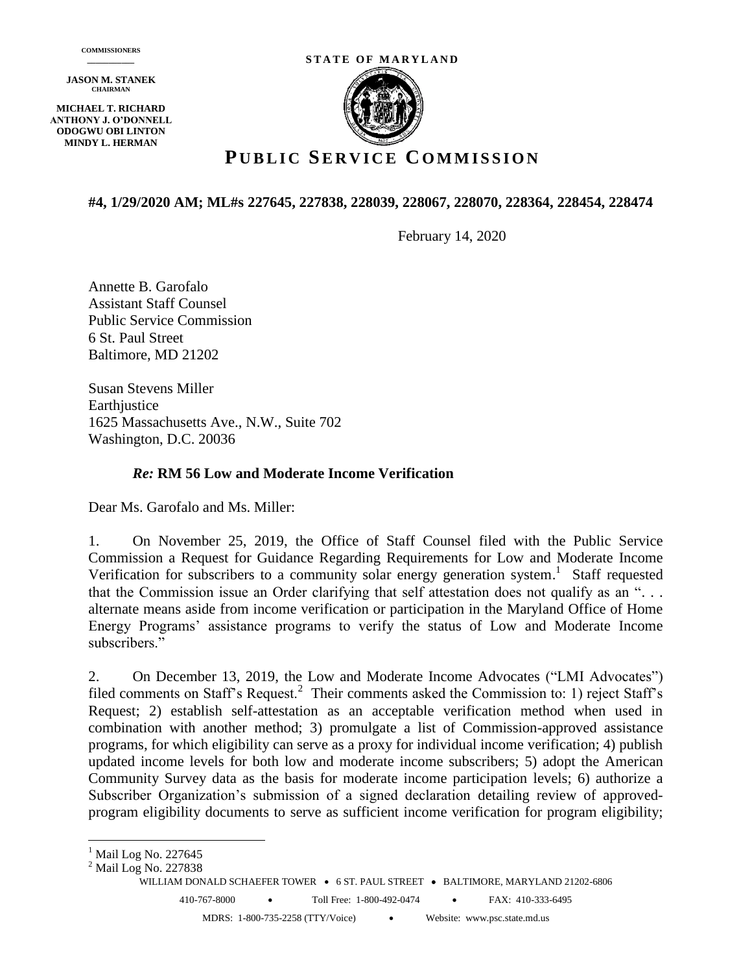**JASON M. STANEK CHAIRMAN**

**MICHAEL T. RICHARD ANTHONY J. O'DONNELL ODOGWU OBI LINTON MINDY L. HERMAN**





## **P UBLIC SE R V I C E C O M M I S S I O N**

#### **#4, 1/29/2020 AM; ML#s 227645, 227838, 228039, 228067, 228070, 228364, 228454, 228474**

February 14, 2020

Annette B. Garofalo Assistant Staff Counsel Public Service Commission 6 St. Paul Street Baltimore, MD 21202

Susan Stevens Miller Earthiustice 1625 Massachusetts Ave., N.W., Suite 702 Washington, D.C. 20036

#### *Re:* **RM 56 Low and Moderate Income Verification**

Dear Ms. Garofalo and Ms. Miller:

1. On November 25, 2019, the Office of Staff Counsel filed with the Public Service Commission a Request for Guidance Regarding Requirements for Low and Moderate Income Verification for subscribers to a community solar energy generation system.<sup>1</sup> Staff requested that the Commission issue an Order clarifying that self attestation does not qualify as an ". . . alternate means aside from income verification or participation in the Maryland Office of Home Energy Programs' assistance programs to verify the status of Low and Moderate Income subscribers."

2. On December 13, 2019, the Low and Moderate Income Advocates ("LMI Advocates") filed comments on Staff's Request.<sup>2</sup> Their comments asked the Commission to: 1) reject Staff's Request; 2) establish self-attestation as an acceptable verification method when used in combination with another method; 3) promulgate a list of Commission-approved assistance programs, for which eligibility can serve as a proxy for individual income verification; 4) publish updated income levels for both low and moderate income subscribers; 5) adopt the American Community Survey data as the basis for moderate income participation levels; 6) authorize a Subscriber Organization's submission of a signed declaration detailing review of approvedprogram eligibility documents to serve as sufficient income verification for program eligibility;

 $\overline{a}$ 

<sup>&</sup>lt;sup>1</sup> Mail Log No. 227645

<sup>&</sup>lt;sup>2</sup> Mail Log No. 227838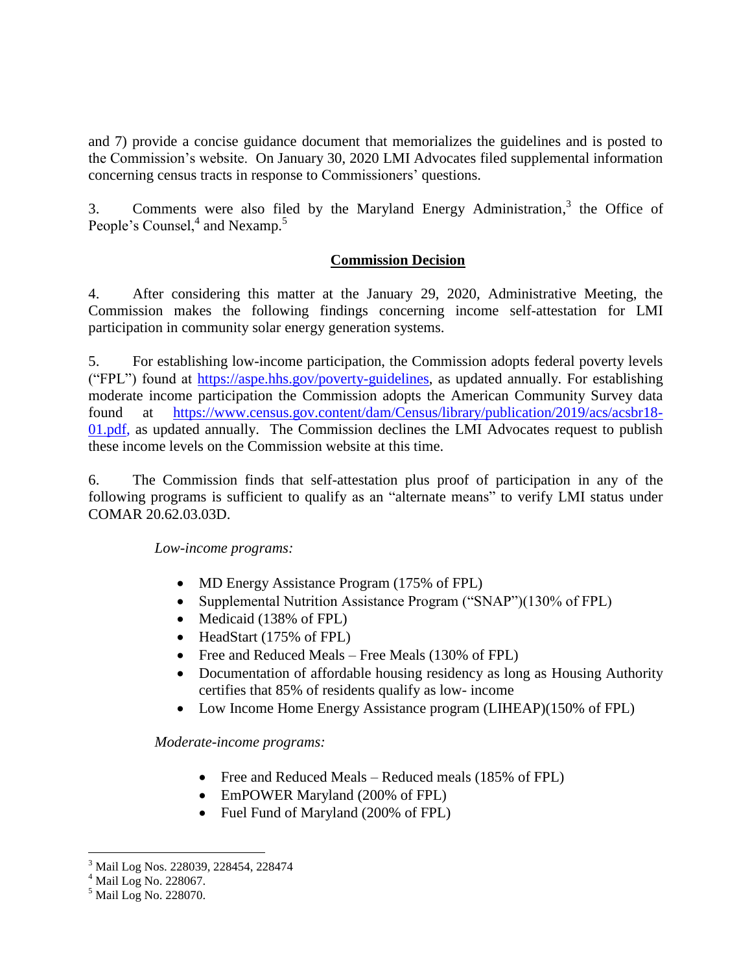and 7) provide a concise guidance document that memorializes the guidelines and is posted to the Commission's website. On January 30, 2020 LMI Advocates filed supplemental information concerning census tracts in response to Commissioners' questions.

3. Comments were also filed by the Maryland Energy Administration,<sup>3</sup> the Office of People's Counsel,<sup>4</sup> and Nexamp.<sup>5</sup>

### **Commission Decision**

4. After considering this matter at the January 29, 2020, Administrative Meeting, the Commission makes the following findings concerning income self-attestation for LMI participation in community solar energy generation systems.

5. For establishing low-income participation, the Commission adopts federal poverty levels ("FPL") found at [https://aspe.hhs.gov/poverty-guidelines,](https://aspe.hhs.gov/poverty-guidelines) as updated annually. For establishing moderate income participation the Commission adopts the American Community Survey data found at [https://www.census.gov.content/dam/Census/library/publication/2019/acs/acsbr18-](https://www.census.gov.content/dam/Census/library/publication/2019/acs/acsbr18-01.pdf) [01.pdf,](https://www.census.gov.content/dam/Census/library/publication/2019/acs/acsbr18-01.pdf) as updated annually. The Commission declines the LMI Advocates request to publish these income levels on the Commission website at this time.

6. The Commission finds that self-attestation plus proof of participation in any of the following programs is sufficient to qualify as an "alternate means" to verify LMI status under COMAR 20.62.03.03D.

### *Low-income programs:*

- MD Energy Assistance Program (175% of FPL)
- Supplemental Nutrition Assistance Program ("SNAP")(130% of FPL)
- Medicaid (138% of FPL)
- HeadStart (175% of FPL)
- Free and Reduced Meals Free Meals (130% of FPL)
- Documentation of affordable housing residency as long as Housing Authority certifies that 85% of residents qualify as low- income
- Low Income Home Energy Assistance program (LIHEAP)(150% of FPL)

### *Moderate-income programs:*

- Free and Reduced Meals Reduced meals (185% of FPL)
- EmPOWER Maryland (200% of FPL)
- Fuel Fund of Maryland (200% of FPL)

 $\overline{a}$ <sup>3</sup> Mail Log Nos. 228039, 228454, 228474

<sup>4</sup> Mail Log No. 228067.

 $<sup>5</sup>$  Mail Log No. 228070.</sup>